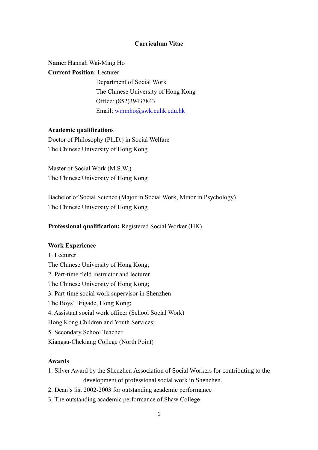#### **Curriculum Vitae**

# **Name:** Hannah Wai-Ming Ho

# **Current Position**: Lecturer

Department of Social Work The Chinese University of Hong Kong Office: (852)39437843 Email: [wmmho@swk.cuhk.edu.hk](mailto:wmmho@swk.cuhk.edu.hk)

#### **Academic qualifications**

Doctor of Philosophy (Ph.D.) in Social Welfare The Chinese University of Hong Kong

Master of Social Work (M.S.W.) The Chinese University of Hong Kong

Bachelor of Social Science (Major in Social Work, Minor in Psychology) The Chinese University of Hong Kong

# **Professional qualification:** Registered Social Worker (HK)

#### **Work Experience**

1. Lecturer The Chinese University of Hong Kong; 2. Part-time field instructor and lecturer The Chinese University of Hong Kong; 3. Part-time social work supervisor in Shenzhen The Boys' Brigade, Hong Kong; 4. Assistant social work officer (School Social Work) Hong Kong Children and Youth Services; 5. Secondary School Teacher Kiangsu-Chekiang College (North Point)

# **Awards**

- 1. Silver Award by the Shenzhen Association of Social Workers for contributing to the development of professional social work in Shenzhen.
- 2. Dean's list 2002-2003 for outstanding academic performance
- 3. The outstanding academic performance of Shaw College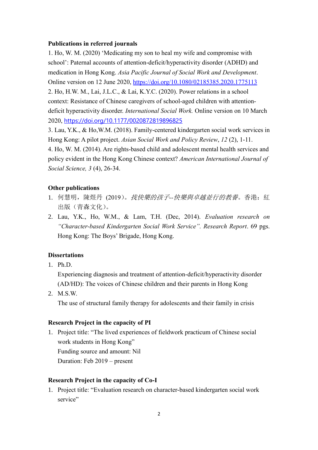#### **Publications in referred journals**

1. Ho, W. M. (2020) 'Medicating my son to heal my wife and compromise with school': Paternal accounts of attention-deficit/hyperactivity disorder (ADHD) and medication in Hong Kong. *Asia Pacific Journal of Social Work and Development*. Online version on 12 June 2020, <https://doi.org/10.1080/02185385.2020.1775113> 2. Ho, H.W. M., Lai, J.L.C., & Lai, K.Y.C. (2020). Power relations in a school context: Resistance of Chinese caregivers of school-aged children with attentiondeficit hyperactivity disorder. *International Social Work.* Online version on 10 March 2020, <https://doi.org/10.1177/0020872819896825>

3. Lau, Y.K., & Ho,W.M. (2018). Family-centered kindergarten social work services in Hong Kong: A pilot project. *Asian Social Work and Policy Review*, *12* (2), 1-11.

4. Ho, W. M. (2014). Are rights-based child and adolescent mental health services and policy evident in the Hong Kong Chinese context? *American International Journal of Social Science, 3* (4), 26-34.

#### **Other publications**

- 1. 何慧明,陳煜丹 (2019)。找快樂的孩子*--*快樂與卓越並行的教養。香港:紅 出版(青森文化)。
- 2. Lau, Y.K., Ho, W.M., & Lam, T.H. (Dec, 2014). *Evaluation research on "Character-based Kindergarten Social Work Service". Research Report*. 69 pgs. Hong Kong: The Boys' Brigade, Hong Kong.

#### **Dissertations**

1. Ph.D.

Experiencing diagnosis and treatment of attention-deficit/hyperactivity disorder (AD/HD): The voices of Chinese children and their parents in Hong Kong

2. M.S.W.

The use of structural family therapy for adolescents and their family in crisis

#### **Research Project in the capacity of PI**

1. Project title: "The lived experiences of fieldwork practicum of Chinese social work students in Hong Kong" Funding source and amount: Nil Duration: Feb 2019 – present

#### **Research Project in the capacity of Co-I**

1. Project title: "Evaluation research on character-based kindergarten social work service"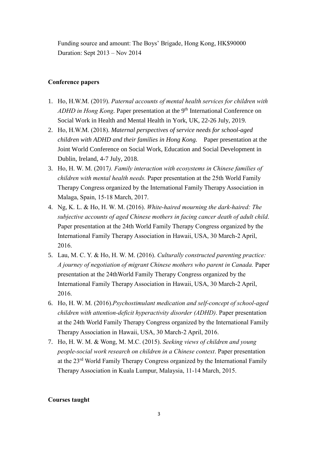Funding source and amount: The Boys' Brigade, Hong Kong, HK\$90000 Duration: Sept 2013 – Nov 2014

# **Conference papers**

- 1. Ho, H.W.M. (2019). *Paternal accounts of mental health services for children with*  ADHD in Hong Kong. Paper presentation at the 9<sup>th</sup> International Conference on Social Work in Health and Mental Health in York, UK, 22-26 July, 2019.
- 2. Ho, H.W.M. (2018). *Maternal perspectives of service needs for school-aged children with ADHD and their families in Hong Kong.* Paper presentation at the Joint World Conference on Social Work, Education and Social Development in Dublin, Ireland, 4-7 July, 2018.
- 3. Ho, H. W. M. (2017*). Family interaction with ecosystems in Chinese families of children with mental health needs.* Paper presentation at the 25th World Family Therapy Congress organized by the International Family Therapy Association in Malaga, Spain, 15-18 March, 2017.
- 4. Ng, K. L. & Ho, H. W. M. (2016). *White-haired mourning the dark-haired: The subjective accounts of aged Chinese mothers in facing cancer death of adult child*. Paper presentation at the 24th World Family Therapy Congress organized by the International Family Therapy Association in Hawaii, USA, 30 March-2 April, 2016.
- 5. Lau, M. C. Y. & Ho, H. W. M. (2016). *Culturally constructed parenting practice: A journey of negotiation of migrant Chinese mothers who parent in Canada.* Paper presentation at the 24thWorld Family Therapy Congress organized by the International Family Therapy Association in Hawaii, USA, 30 March-2 April, 2016.
- 6. Ho, H. W. M. (2016).*Psychostimulant medication and self-concept of school-aged children with attention-deficit hyperactivity disorder (ADHD)*. Paper presentation at the 24th World Family Therapy Congress organized by the International Family Therapy Association in Hawaii, USA, 30 March-2 April, 2016.
- 7. Ho, H. W. M. & Wong, M. M.C. (2015). *Seeking views of children and young people-social work research on children in a Chinese context*. Paper presentation at the 23rd World Family Therapy Congress organized by the International Family Therapy Association in Kuala Lumpur, Malaysia, 11-14 March, 2015.

# **Courses taught**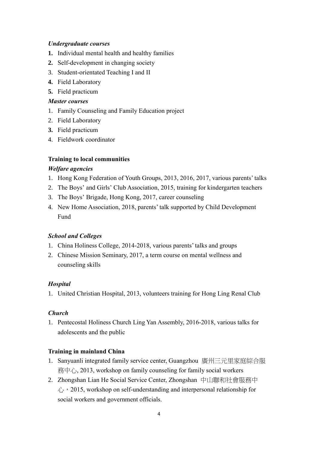# *Undergraduate courses*

- **1.** Individual mental health and healthy families
- **2.** Self-development in changing society
- 3. Student-orientated Teaching I and II
- **4.** Field Laboratory
- **5.** Field practicum

# *Master courses*

- 1. Family Counseling and Family Education project
- 2. Field Laboratory
- **3.** Field practicum
- 4. Fieldwork coordinator

# **Training to local communities**

# *Welfare agencies*

- 1. Hong Kong Federation of Youth Groups, 2013, 2016, 2017, various parents' talks
- 2. The Boys' and Girls' Club Association, 2015, training for kindergarten teachers
- 3. The Boys' Brigade, Hong Kong, 2017, career counseling
- 4. New Home Association, 2018, parents' talk supported by Child Development Fund

# *School and Colleges*

- 1. China Holiness College, 2014-2018, various parents' talks and groups
- 2. Chinese Mission Seminary, 2017, a term course on mental wellness and counseling skills

# *Hospital*

1. United Christian Hospital, 2013, volunteers training for Hong Ling Renal Club

# *Church*

1. Pentecostal Holiness Church Ling Yan Assembly, 2016-2018, various talks for adolescents and the public

# **Training in mainland China**

- 1. Sanyuanli integrated family service center, Guangzhou 廣州三元里家庭綜合服 務中心, 2013, workshop on family counseling for family social workers
- 2. Zhongshan Lian He Social Service Center, Zhongshan 中山聯和社會服務中  $\hat{U}_1$ , 2015, workshop on self-understanding and interpersonal relationship for social workers and government officials.